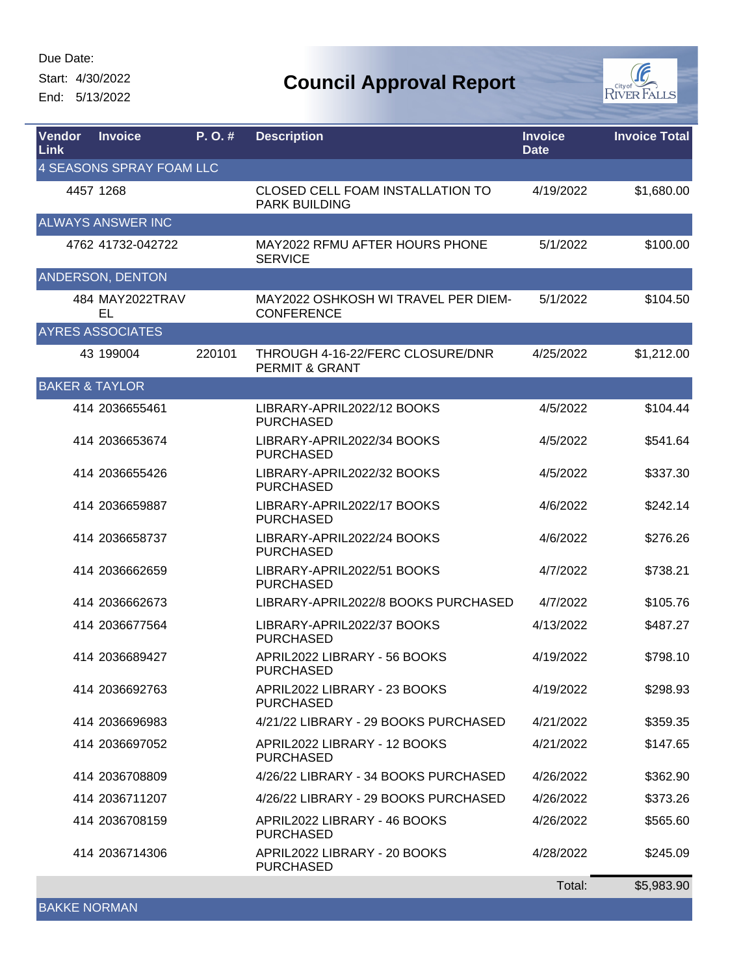Start: 4/30/2022

End: 5/13/2022



| <b>Vendor</b><br><b>Link</b> | <b>Invoice</b>                  | P. O. # | <b>Description</b>                                            | <b>Invoice</b><br><b>Date</b> | <b>Invoice Total</b> |
|------------------------------|---------------------------------|---------|---------------------------------------------------------------|-------------------------------|----------------------|
|                              | <b>4 SEASONS SPRAY FOAM LLC</b> |         |                                                               |                               |                      |
|                              | 4457 1268                       |         | CLOSED CELL FOAM INSTALLATION TO<br><b>PARK BUILDING</b>      | 4/19/2022                     | \$1,680.00           |
|                              | <b>ALWAYS ANSWER INC</b>        |         |                                                               |                               |                      |
|                              | 4762 41732-042722               |         | MAY2022 RFMU AFTER HOURS PHONE<br><b>SERVICE</b>              | 5/1/2022                      | \$100.00             |
|                              | ANDERSON, DENTON                |         |                                                               |                               |                      |
|                              | 484 MAY2022TRAV<br>EL           |         | MAY2022 OSHKOSH WI TRAVEL PER DIEM-<br><b>CONFERENCE</b>      | 5/1/2022                      | \$104.50             |
|                              | <b>AYRES ASSOCIATES</b>         |         |                                                               |                               |                      |
|                              | 43 199004                       | 220101  | THROUGH 4-16-22/FERC CLOSURE/DNR<br><b>PERMIT &amp; GRANT</b> | 4/25/2022                     | \$1,212.00           |
| <b>BAKER &amp; TAYLOR</b>    |                                 |         |                                                               |                               |                      |
|                              | 414 2036655461                  |         | LIBRARY-APRIL2022/12 BOOKS<br><b>PURCHASED</b>                | 4/5/2022                      | \$104.44             |
|                              | 414 2036653674                  |         | LIBRARY-APRIL2022/34 BOOKS<br><b>PURCHASED</b>                | 4/5/2022                      | \$541.64             |
|                              | 414 2036655426                  |         | LIBRARY-APRIL2022/32 BOOKS<br><b>PURCHASED</b>                | 4/5/2022                      | \$337.30             |
|                              | 414 2036659887                  |         | LIBRARY-APRIL2022/17 BOOKS<br><b>PURCHASED</b>                | 4/6/2022                      | \$242.14             |
|                              | 414 2036658737                  |         | LIBRARY-APRIL2022/24 BOOKS<br><b>PURCHASED</b>                | 4/6/2022                      | \$276.26             |
|                              | 414 2036662659                  |         | LIBRARY-APRIL2022/51 BOOKS<br><b>PURCHASED</b>                | 4/7/2022                      | \$738.21             |
|                              | 414 2036662673                  |         | LIBRARY-APRIL2022/8 BOOKS PURCHASED                           | 4/7/2022                      | \$105.76             |
|                              | 414 2036677564                  |         | LIBRARY-APRIL2022/37 BOOKS<br><b>PURCHASED</b>                | 4/13/2022                     | \$487.27             |
|                              | 414 2036689427                  |         | APRIL2022 LIBRARY - 56 BOOKS<br><b>PURCHASED</b>              | 4/19/2022                     | \$798.10             |
|                              | 414 2036692763                  |         | APRIL2022 LIBRARY - 23 BOOKS<br><b>PURCHASED</b>              | 4/19/2022                     | \$298.93             |
|                              | 414 2036696983                  |         | 4/21/22 LIBRARY - 29 BOOKS PURCHASED                          | 4/21/2022                     | \$359.35             |
|                              | 414 2036697052                  |         | APRIL2022 LIBRARY - 12 BOOKS<br><b>PURCHASED</b>              | 4/21/2022                     | \$147.65             |
|                              | 414 2036708809                  |         | 4/26/22 LIBRARY - 34 BOOKS PURCHASED                          | 4/26/2022                     | \$362.90             |
|                              | 414 2036711207                  |         | 4/26/22 LIBRARY - 29 BOOKS PURCHASED                          | 4/26/2022                     | \$373.26             |
|                              | 414 2036708159                  |         | APRIL2022 LIBRARY - 46 BOOKS<br><b>PURCHASED</b>              | 4/26/2022                     | \$565.60             |
|                              | 414 2036714306                  |         | APRIL2022 LIBRARY - 20 BOOKS<br><b>PURCHASED</b>              | 4/28/2022                     | \$245.09             |
|                              |                                 |         |                                                               | Total:                        | \$5,983.90           |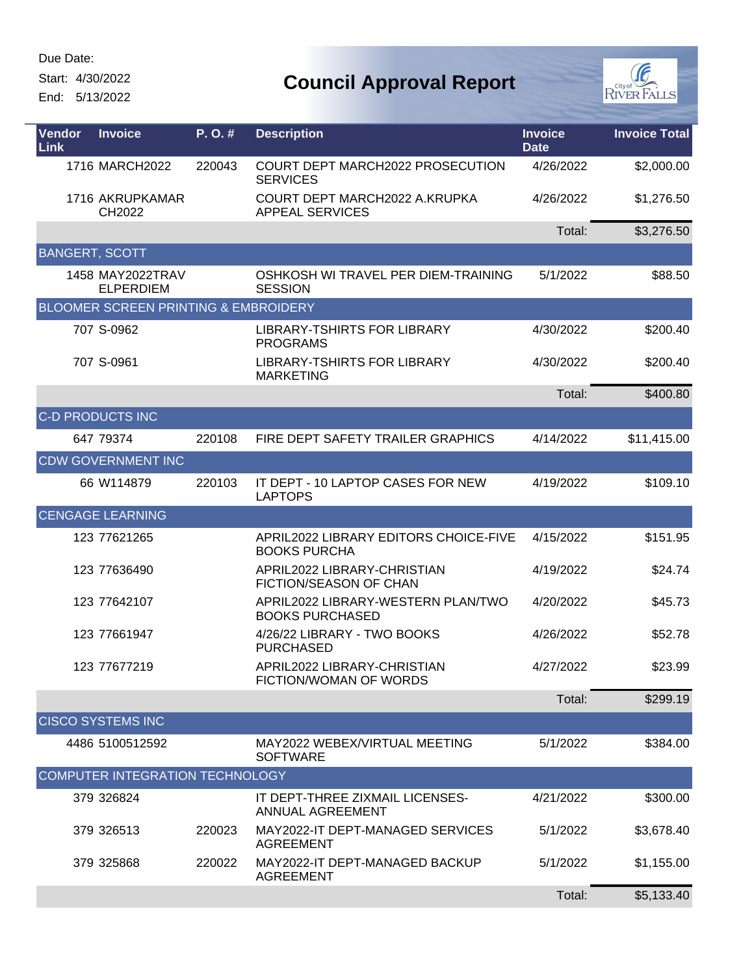Start: 4/30/2022

End: 5/13/2022



| Vendor<br>Link        | <b>Invoice</b>                                  | P.O.#  | <b>Description</b>                                           | <b>Invoice</b><br><b>Date</b> | <b>Invoice Total</b> |
|-----------------------|-------------------------------------------------|--------|--------------------------------------------------------------|-------------------------------|----------------------|
|                       | 1716 MARCH2022                                  | 220043 | COURT DEPT MARCH2022 PROSECUTION<br><b>SERVICES</b>          | 4/26/2022                     | \$2,000.00           |
|                       | 1716 AKRUPKAMAR<br>CH2022                       |        | COURT DEPT MARCH2022 A.KRUPKA<br><b>APPEAL SERVICES</b>      | 4/26/2022                     | \$1,276.50           |
|                       |                                                 |        |                                                              | Total:                        | \$3,276.50           |
| <b>BANGERT, SCOTT</b> |                                                 |        |                                                              |                               |                      |
|                       | 1458 MAY2022TRAV<br><b>ELPERDIEM</b>            |        | OSHKOSH WI TRAVEL PER DIEM-TRAINING<br><b>SESSION</b>        | 5/1/2022                      | \$88.50              |
|                       | <b>BLOOMER SCREEN PRINTING &amp; EMBROIDERY</b> |        |                                                              |                               |                      |
|                       | 707 S-0962                                      |        | LIBRARY-TSHIRTS FOR LIBRARY<br><b>PROGRAMS</b>               | 4/30/2022                     | \$200.40             |
|                       | 707 S-0961                                      |        | LIBRARY-TSHIRTS FOR LIBRARY<br><b>MARKETING</b>              | 4/30/2022                     | \$200.40             |
|                       |                                                 |        |                                                              | Total:                        | \$400.80             |
|                       | <b>C-D PRODUCTS INC</b>                         |        |                                                              |                               |                      |
|                       | 647 79374                                       | 220108 | FIRE DEPT SAFETY TRAILER GRAPHICS                            | 4/14/2022                     | \$11,415.00          |
|                       | <b>CDW GOVERNMENT INC</b>                       |        |                                                              |                               |                      |
|                       | 66 W114879                                      | 220103 | IT DEPT - 10 LAPTOP CASES FOR NEW<br><b>LAPTOPS</b>          | 4/19/2022                     | \$109.10             |
|                       | <b>CENGAGE LEARNING</b>                         |        |                                                              |                               |                      |
|                       | 123 77621265                                    |        | APRIL2022 LIBRARY EDITORS CHOICE-FIVE<br><b>BOOKS PURCHA</b> | 4/15/2022                     | \$151.95             |
|                       | 123 77636490                                    |        | APRIL2022 LIBRARY-CHRISTIAN<br>FICTION/SEASON OF CHAN        | 4/19/2022                     | \$24.74              |
|                       | 123 77642107                                    |        | APRIL2022 LIBRARY-WESTERN PLAN/TWO<br><b>BOOKS PURCHASED</b> | 4/20/2022                     | \$45.73              |
|                       | 123 77661947                                    |        | 4/26/22 LIBRARY - TWO BOOKS<br><b>PURCHASED</b>              | 4/26/2022                     | \$52.78              |
|                       | 123 77677219                                    |        | APRIL2022 LIBRARY-CHRISTIAN<br>FICTION/WOMAN OF WORDS        | 4/27/2022                     | \$23.99              |
|                       |                                                 |        |                                                              | Total:                        | \$299.19             |
|                       | <b>CISCO SYSTEMS INC</b>                        |        |                                                              |                               |                      |
|                       | 4486 5100512592                                 |        | MAY2022 WEBEX/VIRTUAL MEETING<br><b>SOFTWARE</b>             | 5/1/2022                      | \$384.00             |
|                       | COMPUTER INTEGRATION TECHNOLOGY                 |        |                                                              |                               |                      |
|                       | 379 326824                                      |        | IT DEPT-THREE ZIXMAIL LICENSES-<br>ANNUAL AGREEMENT          | 4/21/2022                     | \$300.00             |
|                       | 379 326513                                      | 220023 | MAY2022-IT DEPT-MANAGED SERVICES<br><b>AGREEMENT</b>         | 5/1/2022                      | \$3,678.40           |
|                       | 379 325868                                      | 220022 | MAY2022-IT DEPT-MANAGED BACKUP<br><b>AGREEMENT</b>           | 5/1/2022                      | \$1,155.00           |
|                       |                                                 |        |                                                              | Total:                        | \$5,133.40           |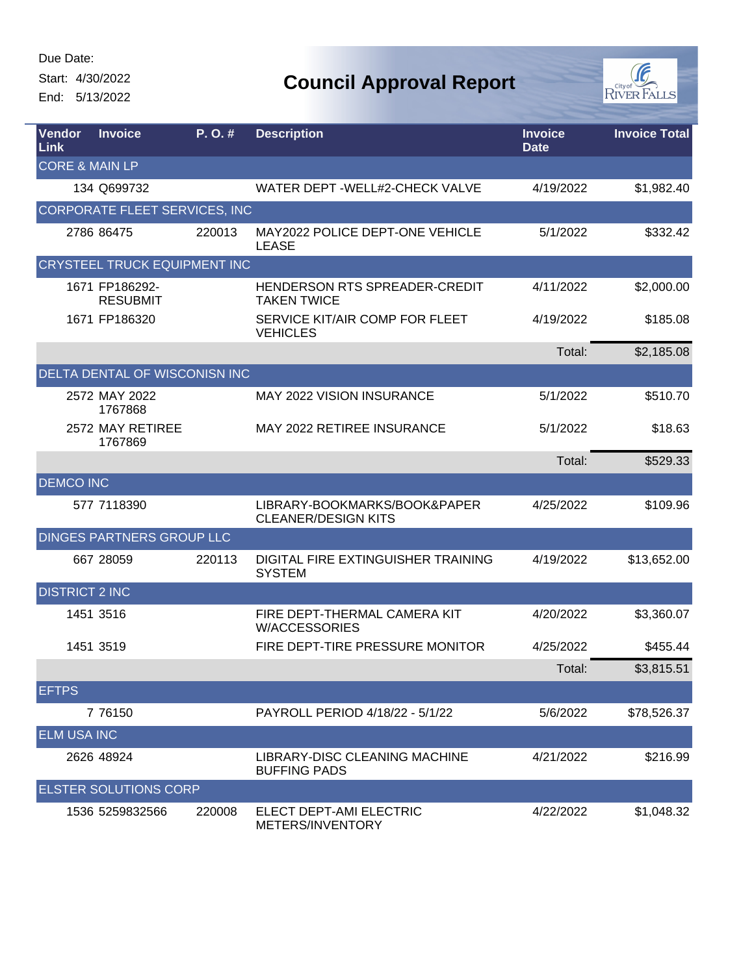L

Start: 4/30/2022

End: 5/13/2022



| Vendor<br><b>Link</b>     | <b>Invoice</b>                       | P.O.#  | <b>Description</b>                                         | <b>Invoice</b><br><b>Date</b> | <b>Invoice Total</b> |
|---------------------------|--------------------------------------|--------|------------------------------------------------------------|-------------------------------|----------------------|
| <b>CORE &amp; MAIN LP</b> |                                      |        |                                                            |                               |                      |
|                           | 134 Q699732                          |        | WATER DEPT - WELL#2-CHECK VALVE                            | 4/19/2022                     | \$1,982.40           |
|                           | CORPORATE FLEET SERVICES, INC        |        |                                                            |                               |                      |
|                           | 2786 86475                           | 220013 | MAY2022 POLICE DEPT-ONE VEHICLE<br><b>LEASE</b>            | 5/1/2022                      | \$332.42             |
|                           | <b>CRYSTEEL TRUCK EQUIPMENT INC</b>  |        |                                                            |                               |                      |
|                           | 1671 FP186292-<br><b>RESUBMIT</b>    |        | HENDERSON RTS SPREADER-CREDIT<br><b>TAKEN TWICE</b>        | 4/11/2022                     | \$2,000.00           |
|                           | 1671 FP186320                        |        | SERVICE KIT/AIR COMP FOR FLEET<br><b>VEHICLES</b>          | 4/19/2022                     | \$185.08             |
|                           |                                      |        |                                                            | Total:                        | \$2,185.08           |
|                           | <b>DELTA DENTAL OF WISCONISN INC</b> |        |                                                            |                               |                      |
|                           | 2572 MAY 2022<br>1767868             |        | <b>MAY 2022 VISION INSURANCE</b>                           | 5/1/2022                      | \$510.70             |
|                           | 2572 MAY RETIREE<br>1767869          |        | MAY 2022 RETIREE INSURANCE                                 | 5/1/2022                      | \$18.63              |
|                           |                                      |        |                                                            | Total:                        | \$529.33             |
| <b>DEMCO INC</b>          |                                      |        |                                                            |                               |                      |
|                           | 577 7118390                          |        | LIBRARY-BOOKMARKS/BOOK&PAPER<br><b>CLEANER/DESIGN KITS</b> | 4/25/2022                     | \$109.96             |
|                           | DINGES PARTNERS GROUP LLC            |        |                                                            |                               |                      |
|                           | 667 28059                            | 220113 | DIGITAL FIRE EXTINGUISHER TRAINING<br><b>SYSTEM</b>        | 4/19/2022                     | \$13,652.00          |
| <b>DISTRICT 2 INC</b>     |                                      |        |                                                            |                               |                      |
|                           | 1451 3516                            |        | FIRE DEPT-THERMAL CAMERA KIT<br><b>W/ACCESSORIES</b>       | 4/20/2022                     | \$3,360.07           |
|                           | 1451 3519                            |        | FIRE DEPT-TIRE PRESSURE MONITOR                            | 4/25/2022                     | \$455.44             |
|                           |                                      |        |                                                            | Total:                        | \$3,815.51           |
| <b>EFTPS</b>              |                                      |        |                                                            |                               |                      |
|                           | 7 76150                              |        | PAYROLL PERIOD 4/18/22 - 5/1/22                            | 5/6/2022                      | \$78,526.37          |
| <b>ELM USA INC</b>        |                                      |        |                                                            |                               |                      |
|                           | 2626 48924                           |        | LIBRARY-DISC CLEANING MACHINE<br><b>BUFFING PADS</b>       | 4/21/2022                     | \$216.99             |
|                           | <b>ELSTER SOLUTIONS CORP</b>         |        |                                                            |                               |                      |
|                           | 1536 5259832566                      | 220008 | ELECT DEPT-AMI ELECTRIC<br>METERS/INVENTORY                | 4/22/2022                     | \$1,048.32           |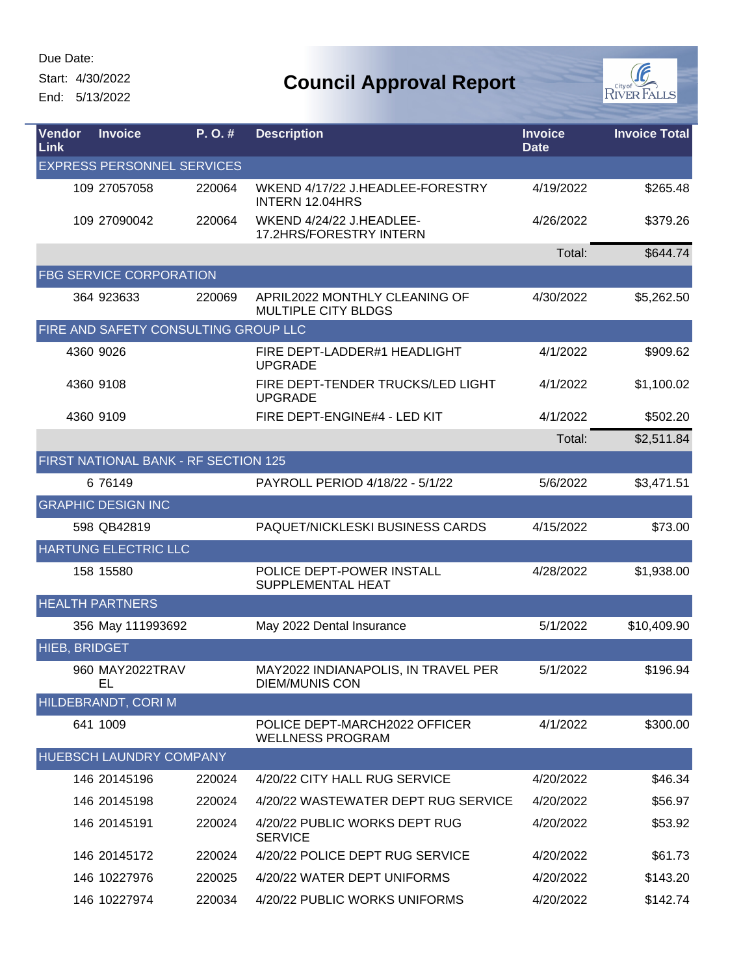Ļ

#### Start: 4/30/2022

End: 5/13/2022



| <b>Vendor</b><br><b>Link</b> | <b>Invoice</b>                       | P. O. # | <b>Description</b>                                           | <b>Invoice</b><br><b>Date</b> | <b>Invoice Total</b> |
|------------------------------|--------------------------------------|---------|--------------------------------------------------------------|-------------------------------|----------------------|
|                              | <b>EXPRESS PERSONNEL SERVICES</b>    |         |                                                              |                               |                      |
|                              | 109 27057058                         | 220064  | WKEND 4/17/22 J.HEADLEE-FORESTRY<br><b>INTERN 12.04HRS</b>   | 4/19/2022                     | \$265.48             |
|                              | 109 27090042                         | 220064  | WKEND 4/24/22 J.HEADLEE-<br>17.2HRS/FORESTRY INTERN          | 4/26/2022                     | \$379.26             |
|                              |                                      |         |                                                              | Total:                        | \$644.74             |
|                              | <b>FBG SERVICE CORPORATION</b>       |         |                                                              |                               |                      |
|                              | 364 923633                           | 220069  | APRIL2022 MONTHLY CLEANING OF<br><b>MULTIPLE CITY BLDGS</b>  | 4/30/2022                     | \$5,262.50           |
|                              | FIRE AND SAFETY CONSULTING GROUP LLC |         |                                                              |                               |                      |
|                              | 4360 9026                            |         | FIRE DEPT-LADDER#1 HEADLIGHT<br><b>UPGRADE</b>               | 4/1/2022                      | \$909.62             |
|                              | 4360 9108                            |         | FIRE DEPT-TENDER TRUCKS/LED LIGHT<br><b>UPGRADE</b>          | 4/1/2022                      | \$1,100.02           |
|                              | 4360 9109                            |         | FIRE DEPT-ENGINE#4 - LED KIT                                 | 4/1/2022                      | \$502.20             |
|                              |                                      |         |                                                              | Total:                        | \$2,511.84           |
|                              | FIRST NATIONAL BANK - RF SECTION 125 |         |                                                              |                               |                      |
|                              | 6 76149                              |         | PAYROLL PERIOD 4/18/22 - 5/1/22                              | 5/6/2022                      | \$3,471.51           |
|                              | <b>GRAPHIC DESIGN INC</b>            |         |                                                              |                               |                      |
|                              | 598 QB42819                          |         | PAQUET/NICKLESKI BUSINESS CARDS                              | 4/15/2022                     | \$73.00              |
|                              | HARTUNG ELECTRIC LLC                 |         |                                                              |                               |                      |
|                              | 158 15580                            |         | POLICE DEPT-POWER INSTALL<br>SUPPLEMENTAL HEAT               | 4/28/2022                     | \$1,938.00           |
|                              | <b>HEALTH PARTNERS</b>               |         |                                                              |                               |                      |
|                              | 356 May 111993692                    |         | May 2022 Dental Insurance                                    | 5/1/2022                      | \$10,409.90          |
| <b>HIEB, BRIDGET</b>         |                                      |         |                                                              |                               |                      |
|                              | 960 MAY2022TRAV<br>EL                |         | MAY2022 INDIANAPOLIS, IN TRAVEL PER<br><b>DIEM/MUNIS CON</b> | 5/1/2022                      | \$196.94             |
|                              | HILDEBRANDT, CORI M                  |         |                                                              |                               |                      |
|                              | 641 1009                             |         | POLICE DEPT-MARCH2022 OFFICER<br><b>WELLNESS PROGRAM</b>     | 4/1/2022                      | \$300.00             |
|                              | HUEBSCH LAUNDRY COMPANY              |         |                                                              |                               |                      |
|                              | 146 20145196                         | 220024  | 4/20/22 CITY HALL RUG SERVICE                                | 4/20/2022                     | \$46.34              |
|                              | 146 20145198                         | 220024  | 4/20/22 WASTEWATER DEPT RUG SERVICE                          | 4/20/2022                     | \$56.97              |
|                              | 146 20145191                         | 220024  | 4/20/22 PUBLIC WORKS DEPT RUG<br><b>SERVICE</b>              | 4/20/2022                     | \$53.92              |
|                              | 146 20145172                         | 220024  | 4/20/22 POLICE DEPT RUG SERVICE                              | 4/20/2022                     | \$61.73              |
|                              | 146 10227976                         | 220025  | 4/20/22 WATER DEPT UNIFORMS                                  | 4/20/2022                     | \$143.20             |
|                              | 146 10227974                         | 220034  | 4/20/22 PUBLIC WORKS UNIFORMS                                | 4/20/2022                     | \$142.74             |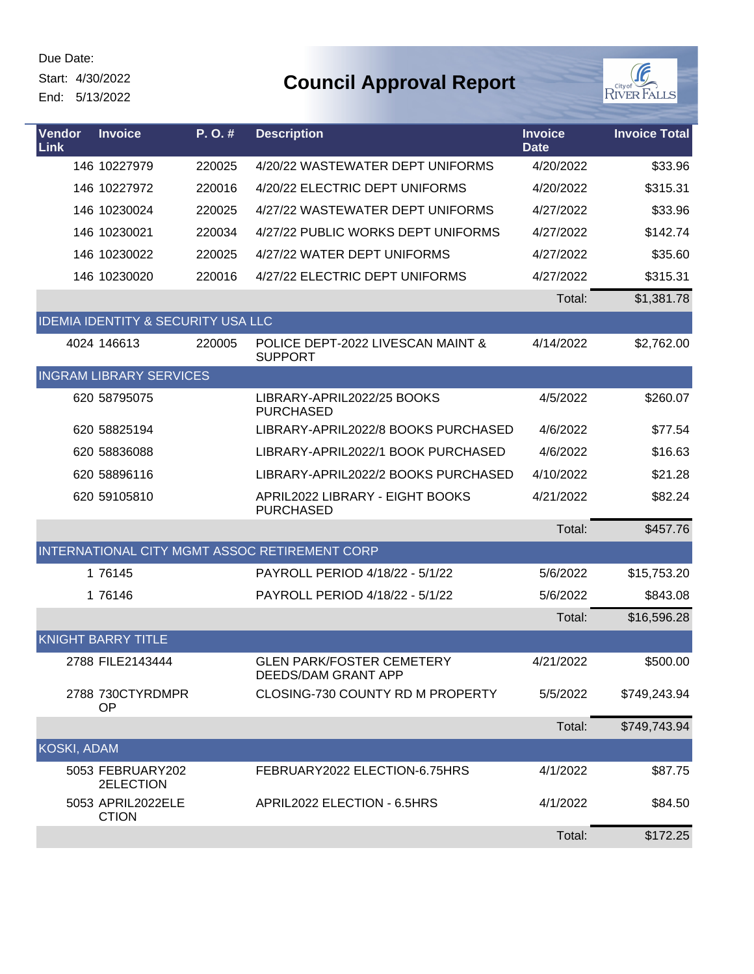Start: 4/30/2022

End: 5/13/2022



| <b>Vendor</b><br><b>Link</b> | <b>Invoice</b>                                | P. O. # | <b>Description</b>                                             | <b>Invoice</b><br><b>Date</b> | <b>Invoice Total</b> |
|------------------------------|-----------------------------------------------|---------|----------------------------------------------------------------|-------------------------------|----------------------|
|                              | 146 10227979                                  | 220025  | 4/20/22 WASTEWATER DEPT UNIFORMS                               | 4/20/2022                     | \$33.96              |
|                              | 146 10227972                                  | 220016  | 4/20/22 ELECTRIC DEPT UNIFORMS                                 | 4/20/2022                     | \$315.31             |
|                              | 146 10230024                                  | 220025  | 4/27/22 WASTEWATER DEPT UNIFORMS                               | 4/27/2022                     | \$33.96              |
|                              | 146 10230021                                  | 220034  | 4/27/22 PUBLIC WORKS DEPT UNIFORMS                             | 4/27/2022                     | \$142.74             |
|                              | 146 10230022                                  | 220025  | 4/27/22 WATER DEPT UNIFORMS                                    | 4/27/2022                     | \$35.60              |
|                              | 146 10230020                                  | 220016  | 4/27/22 ELECTRIC DEPT UNIFORMS                                 | 4/27/2022                     | \$315.31             |
|                              |                                               |         |                                                                | Total:                        | \$1,381.78           |
|                              | <b>IDEMIA IDENTITY &amp; SECURITY USA LLC</b> |         |                                                                |                               |                      |
|                              | 4024 146613                                   | 220005  | POLICE DEPT-2022 LIVESCAN MAINT &<br><b>SUPPORT</b>            | 4/14/2022                     | \$2,762.00           |
|                              | <b>INGRAM LIBRARY SERVICES</b>                |         |                                                                |                               |                      |
|                              | 620 58795075                                  |         | LIBRARY-APRIL2022/25 BOOKS<br><b>PURCHASED</b>                 | 4/5/2022                      | \$260.07             |
|                              | 620 58825194                                  |         | LIBRARY-APRIL2022/8 BOOKS PURCHASED                            | 4/6/2022                      | \$77.54              |
|                              | 620 58836088                                  |         | LIBRARY-APRIL2022/1 BOOK PURCHASED                             | 4/6/2022                      | \$16.63              |
|                              | 620 58896116                                  |         | LIBRARY-APRIL2022/2 BOOKS PURCHASED                            | 4/10/2022                     | \$21.28              |
|                              | 620 59105810                                  |         | APRIL2022 LIBRARY - EIGHT BOOKS<br><b>PURCHASED</b>            | 4/21/2022                     | \$82.24              |
|                              |                                               |         |                                                                | Total:                        | \$457.76             |
|                              |                                               |         | INTERNATIONAL CITY MGMT ASSOC RETIREMENT CORP                  |                               |                      |
|                              | 1 76145                                       |         | PAYROLL PERIOD 4/18/22 - 5/1/22                                | 5/6/2022                      | \$15,753.20          |
|                              | 1 76146                                       |         | PAYROLL PERIOD 4/18/22 - 5/1/22                                | 5/6/2022                      | \$843.08             |
|                              |                                               |         |                                                                | Total:                        | \$16,596.28          |
|                              | <b>KNIGHT BARRY TITLE</b>                     |         |                                                                |                               |                      |
|                              | 2788 FILE2143444                              |         | <b>GLEN PARK/FOSTER CEMETERY</b><br><b>DEEDS/DAM GRANT APP</b> | 4/21/2022                     | \$500.00             |
|                              | 2788 730CTYRDMPR<br>OP                        |         | CLOSING-730 COUNTY RD M PROPERTY                               | 5/5/2022                      | \$749,243.94         |
|                              |                                               |         |                                                                | Total:                        | \$749,743.94         |
| KOSKI, ADAM                  |                                               |         |                                                                |                               |                      |
|                              | 5053 FEBRUARY202<br>2ELECTION                 |         | FEBRUARY2022 ELECTION-6.75HRS                                  | 4/1/2022                      | \$87.75              |
|                              | 5053 APRIL2022ELE<br><b>CTION</b>             |         | APRIL2022 ELECTION - 6.5HRS                                    | 4/1/2022                      | \$84.50              |
|                              |                                               |         |                                                                | Total:                        | \$172.25             |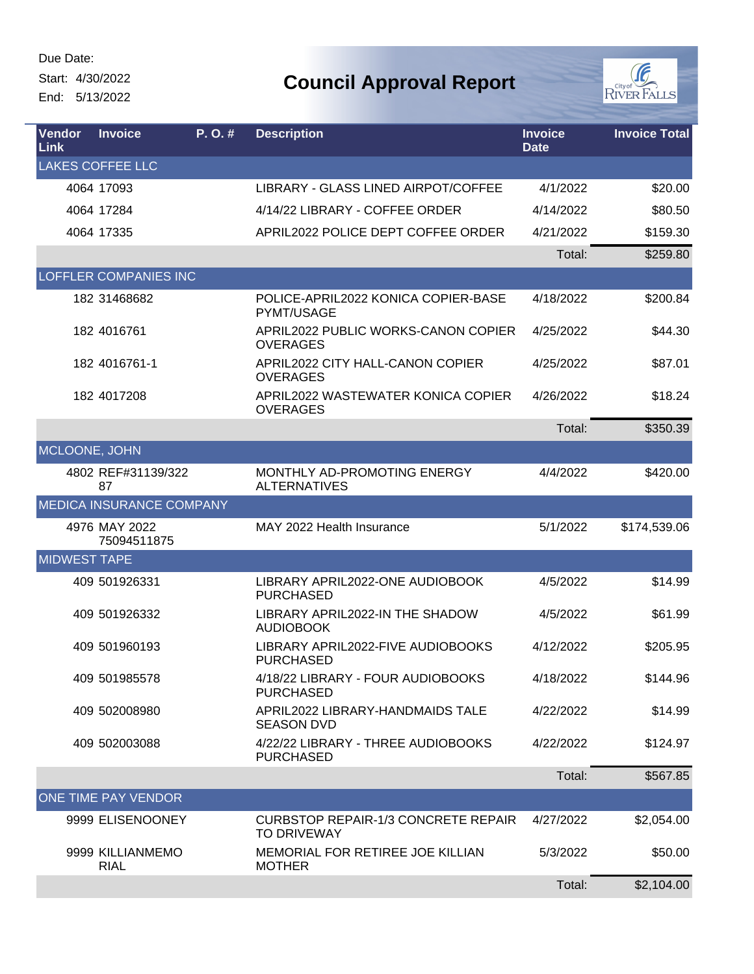Ļ

Start: 4/30/2022

End: 5/13/2022



| <b>Vendor</b><br><b>Link</b> | <b>Invoice</b>                  | P. O. # | <b>Description</b>                                               | <b>Invoice</b><br><b>Date</b> | <b>Invoice Total</b> |
|------------------------------|---------------------------------|---------|------------------------------------------------------------------|-------------------------------|----------------------|
|                              | <b>LAKES COFFEE LLC</b>         |         |                                                                  |                               |                      |
|                              | 4064 17093                      |         | LIBRARY - GLASS LINED AIRPOT/COFFEE                              | 4/1/2022                      | \$20.00              |
|                              | 4064 17284                      |         | 4/14/22 LIBRARY - COFFEE ORDER                                   | 4/14/2022                     | \$80.50              |
|                              | 4064 17335                      |         | APRIL2022 POLICE DEPT COFFEE ORDER                               | 4/21/2022                     | \$159.30             |
|                              |                                 |         |                                                                  | Total:                        | \$259.80             |
|                              | <b>LOFFLER COMPANIES INC</b>    |         |                                                                  |                               |                      |
|                              | 182 31468682                    |         | POLICE-APRIL2022 KONICA COPIER-BASE<br>PYMT/USAGE                | 4/18/2022                     | \$200.84             |
|                              | 182 4016761                     |         | APRIL2022 PUBLIC WORKS-CANON COPIER<br><b>OVERAGES</b>           | 4/25/2022                     | \$44.30              |
|                              | 182 4016761-1                   |         | APRIL2022 CITY HALL-CANON COPIER<br><b>OVERAGES</b>              | 4/25/2022                     | \$87.01              |
|                              | 182 4017208                     |         | APRIL2022 WASTEWATER KONICA COPIER<br><b>OVERAGES</b>            | 4/26/2022                     | \$18.24              |
|                              |                                 |         |                                                                  | Total:                        | \$350.39             |
| MCLOONE, JOHN                |                                 |         |                                                                  |                               |                      |
|                              | 4802 REF#31139/322<br>87        |         | MONTHLY AD-PROMOTING ENERGY<br><b>ALTERNATIVES</b>               | 4/4/2022                      | \$420.00             |
|                              | <b>MEDICA INSURANCE COMPANY</b> |         |                                                                  |                               |                      |
|                              | 4976 MAY 2022<br>75094511875    |         | MAY 2022 Health Insurance                                        | 5/1/2022                      | \$174,539.06         |
| <b>MIDWEST TAPE</b>          |                                 |         |                                                                  |                               |                      |
|                              | 409 501926331                   |         | LIBRARY APRIL2022-ONE AUDIOBOOK<br><b>PURCHASED</b>              | 4/5/2022                      | \$14.99              |
|                              | 409 501926332                   |         | LIBRARY APRIL2022-IN THE SHADOW<br><b>AUDIOBOOK</b>              | 4/5/2022                      | \$61.99              |
|                              | 409 501960193                   |         | LIBRARY APRIL2022-FIVE AUDIOBOOKS<br><b>PURCHASED</b>            | 4/12/2022                     | \$205.95             |
|                              | 409 501985578                   |         | 4/18/22 LIBRARY - FOUR AUDIOBOOKS<br><b>PURCHASED</b>            | 4/18/2022                     | \$144.96             |
|                              | 409 502008980                   |         | APRIL2022 LIBRARY-HANDMAIDS TALE<br><b>SEASON DVD</b>            | 4/22/2022                     | \$14.99              |
|                              | 409 502003088                   |         | 4/22/22 LIBRARY - THREE AUDIOBOOKS<br><b>PURCHASED</b>           | 4/22/2022                     | \$124.97             |
|                              |                                 |         |                                                                  | Total:                        | \$567.85             |
|                              | ONE TIME PAY VENDOR             |         |                                                                  |                               |                      |
|                              | 9999 ELISENOONEY                |         | <b>CURBSTOP REPAIR-1/3 CONCRETE REPAIR</b><br><b>TO DRIVEWAY</b> | 4/27/2022                     | \$2,054.00           |
|                              | 9999 KILLIANMEMO<br><b>RIAL</b> |         | MEMORIAL FOR RETIREE JOE KILLIAN<br><b>MOTHER</b>                | 5/3/2022                      | \$50.00              |
|                              |                                 |         |                                                                  | Total:                        | \$2,104.00           |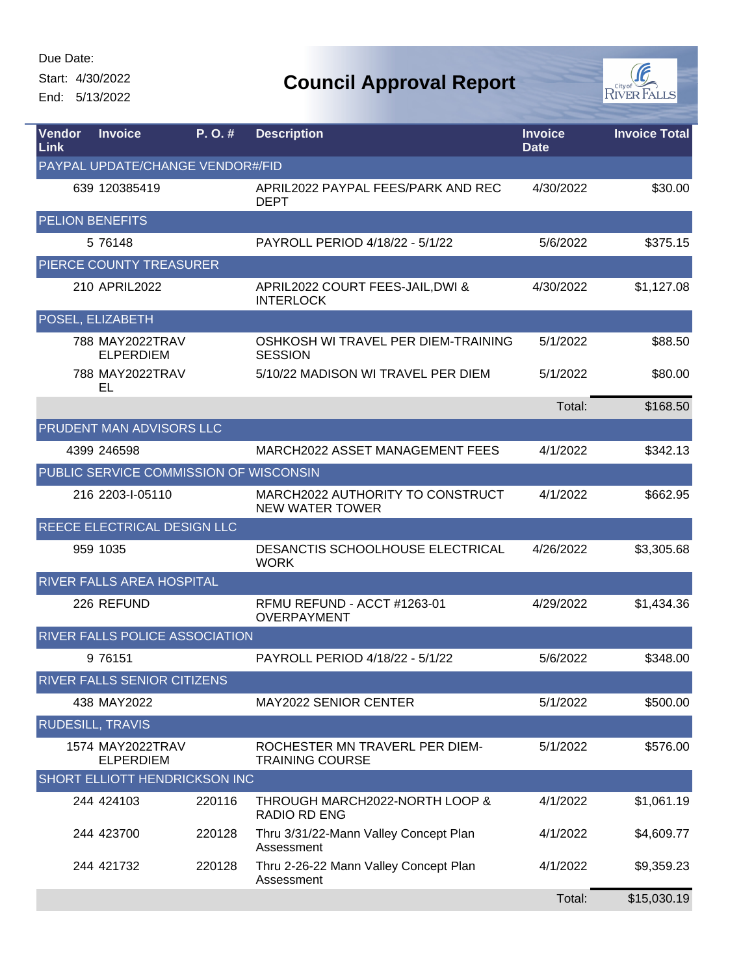Start: 4/30/2022

End: 5/13/2022



| <b>Vendor</b><br>Link            | <b>Invoice</b>                         | P. O. # | <b>Description</b>                                         | <b>Invoice</b><br><b>Date</b> | <b>Invoice Total</b> |  |  |
|----------------------------------|----------------------------------------|---------|------------------------------------------------------------|-------------------------------|----------------------|--|--|
| PAYPAL UPDATE/CHANGE VENDOR#/FID |                                        |         |                                                            |                               |                      |  |  |
|                                  | 639 120385419                          |         | APRIL2022 PAYPAL FEES/PARK AND REC<br><b>DEPT</b>          | 4/30/2022                     | \$30.00              |  |  |
|                                  | <b>PELION BENEFITS</b>                 |         |                                                            |                               |                      |  |  |
|                                  | 5 76148                                |         | PAYROLL PERIOD 4/18/22 - 5/1/22                            | 5/6/2022                      | \$375.15             |  |  |
|                                  | PIERCE COUNTY TREASURER                |         |                                                            |                               |                      |  |  |
|                                  | 210 APRIL2022                          |         | APRIL2022 COURT FEES-JAIL, DWI &<br><b>INTERLOCK</b>       | 4/30/2022                     | \$1,127.08           |  |  |
|                                  | POSEL, ELIZABETH                       |         |                                                            |                               |                      |  |  |
|                                  | 788 MAY2022TRAV<br><b>ELPERDIEM</b>    |         | OSHKOSH WI TRAVEL PER DIEM-TRAINING<br><b>SESSION</b>      | 5/1/2022                      | \$88.50              |  |  |
|                                  | 788 MAY2022TRAV<br>EL                  |         | 5/10/22 MADISON WI TRAVEL PER DIEM                         | 5/1/2022                      | \$80.00              |  |  |
|                                  |                                        |         |                                                            | Total:                        | \$168.50             |  |  |
|                                  | PRUDENT MAN ADVISORS LLC               |         |                                                            |                               |                      |  |  |
|                                  | 4399 246598                            |         | MARCH2022 ASSET MANAGEMENT FEES                            | 4/1/2022                      | \$342.13             |  |  |
|                                  | PUBLIC SERVICE COMMISSION OF WISCONSIN |         |                                                            |                               |                      |  |  |
|                                  | 216 2203-I-05110                       |         | MARCH2022 AUTHORITY TO CONSTRUCT<br><b>NEW WATER TOWER</b> | 4/1/2022                      | \$662.95             |  |  |
|                                  | REECE ELECTRICAL DESIGN LLC            |         |                                                            |                               |                      |  |  |
|                                  | 959 1035                               |         | DESANCTIS SCHOOLHOUSE ELECTRICAL<br><b>WORK</b>            | 4/26/2022                     | \$3,305.68           |  |  |
|                                  | RIVER FALLS AREA HOSPITAL              |         |                                                            |                               |                      |  |  |
|                                  | 226 REFUND                             |         | RFMU REFUND - ACCT #1263-01<br>OVERPAYMENT                 | 4/29/2022                     | \$1,434.36           |  |  |
|                                  | RIVER FALLS POLICE ASSOCIATION         |         |                                                            |                               |                      |  |  |
|                                  | 9 76151                                |         | PAYROLL PERIOD 4/18/22 - 5/1/22                            | 5/6/2022                      | \$348.00             |  |  |
|                                  | RIVER FALLS SENIOR CITIZENS            |         |                                                            |                               |                      |  |  |
|                                  | 438 MAY2022                            |         | <b>MAY2022 SENIOR CENTER</b>                               | 5/1/2022                      | \$500.00             |  |  |
|                                  | <b>RUDESILL, TRAVIS</b>                |         |                                                            |                               |                      |  |  |
|                                  | 1574 MAY2022TRAV<br><b>ELPERDIEM</b>   |         | ROCHESTER MN TRAVERL PER DIEM-<br><b>TRAINING COURSE</b>   | 5/1/2022                      | \$576.00             |  |  |
|                                  | SHORT ELLIOTT HENDRICKSON INC          |         |                                                            |                               |                      |  |  |
|                                  | 244 424103                             | 220116  | THROUGH MARCH2022-NORTH LOOP &<br><b>RADIO RD ENG</b>      | 4/1/2022                      | \$1,061.19           |  |  |
|                                  | 244 423700                             | 220128  | Thru 3/31/22-Mann Valley Concept Plan<br>Assessment        | 4/1/2022                      | \$4,609.77           |  |  |
|                                  | 244 421732                             | 220128  | Thru 2-26-22 Mann Valley Concept Plan<br>Assessment        | 4/1/2022                      | \$9,359.23           |  |  |
|                                  |                                        |         |                                                            | Total:                        | \$15,030.19          |  |  |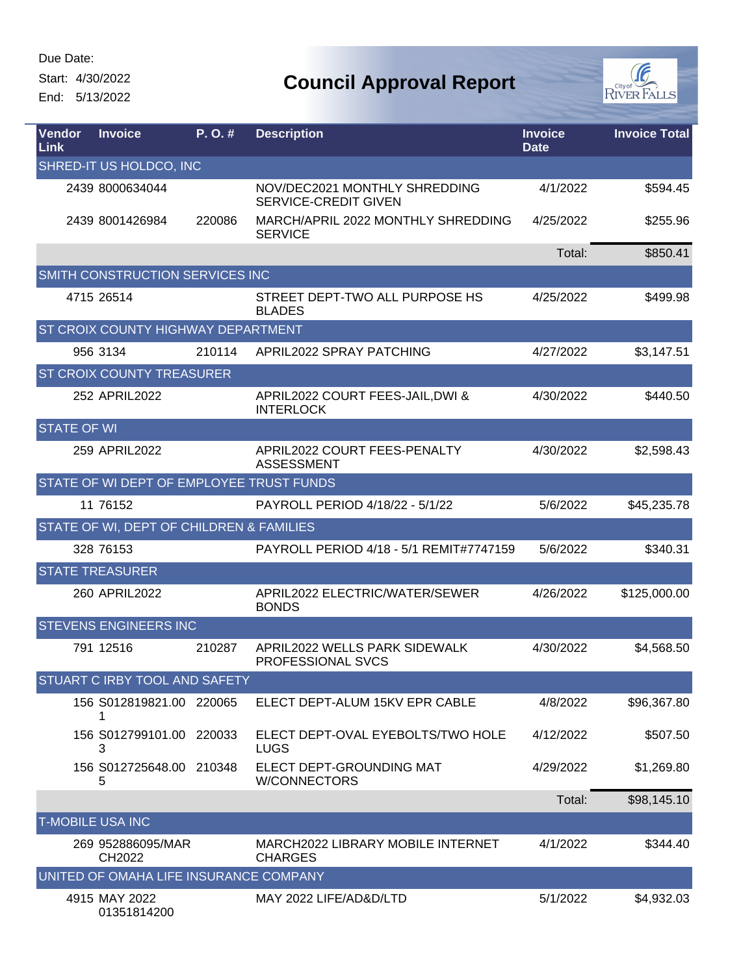L

Start: 4/30/2022

End: 5/13/2022



| <b>Vendor</b><br><b>Link</b> | <b>Invoice</b>                           | P. O. # | <b>Description</b>                                           | <b>Invoice</b><br><b>Date</b> | <b>Invoice Total</b> |
|------------------------------|------------------------------------------|---------|--------------------------------------------------------------|-------------------------------|----------------------|
|                              | SHRED-IT US HOLDCO, INC                  |         |                                                              |                               |                      |
|                              | 2439 8000634044                          |         | NOV/DEC2021 MONTHLY SHREDDING<br><b>SERVICE-CREDIT GIVEN</b> | 4/1/2022                      | \$594.45             |
|                              | 2439 8001426984                          | 220086  | MARCH/APRIL 2022 MONTHLY SHREDDING<br><b>SERVICE</b>         | 4/25/2022                     | \$255.96             |
|                              |                                          |         |                                                              | Total:                        | \$850.41             |
|                              | SMITH CONSTRUCTION SERVICES INC          |         |                                                              |                               |                      |
|                              | 4715 26514                               |         | STREET DEPT-TWO ALL PURPOSE HS<br><b>BLADES</b>              | 4/25/2022                     | \$499.98             |
|                              | ST CROIX COUNTY HIGHWAY DEPARTMENT       |         |                                                              |                               |                      |
|                              | 956 3134                                 | 210114  | APRIL2022 SPRAY PATCHING                                     | 4/27/2022                     | \$3,147.51           |
|                              | ST CROIX COUNTY TREASURER                |         |                                                              |                               |                      |
|                              | 252 APRIL2022                            |         | APRIL2022 COURT FEES-JAIL, DWI &<br><b>INTERLOCK</b>         | 4/30/2022                     | \$440.50             |
| <b>STATE OF WI</b>           |                                          |         |                                                              |                               |                      |
|                              | 259 APRIL2022                            |         | APRIL2022 COURT FEES-PENALTY<br><b>ASSESSMENT</b>            | 4/30/2022                     | \$2,598.43           |
|                              | STATE OF WI DEPT OF EMPLOYEE TRUST FUNDS |         |                                                              |                               |                      |
|                              | 11 76152                                 |         | PAYROLL PERIOD 4/18/22 - 5/1/22                              | 5/6/2022                      | \$45,235.78          |
|                              | STATE OF WI, DEPT OF CHILDREN & FAMILIES |         |                                                              |                               |                      |
|                              | 328 76153                                |         | PAYROLL PERIOD 4/18 - 5/1 REMIT#7747159                      | 5/6/2022                      | \$340.31             |
|                              | <b>STATE TREASURER</b>                   |         |                                                              |                               |                      |
|                              | 260 APRIL2022                            |         | APRIL2022 ELECTRIC/WATER/SEWER<br><b>BONDS</b>               | 4/26/2022                     | \$125,000.00         |
|                              | <b>STEVENS ENGINEERS INC</b>             |         |                                                              |                               |                      |
|                              | 791 12516                                | 210287  | APRIL2022 WELLS PARK SIDEWALK<br>PROFESSIONAL SVCS           | 4/30/2022                     | \$4,568.50           |
|                              | STUART C IRBY TOOL AND SAFETY            |         |                                                              |                               |                      |
|                              | 156 S012819821.00 220065                 |         | ELECT DEPT-ALUM 15KV EPR CABLE                               | 4/8/2022                      | \$96,367.80          |
|                              | 156 S012799101.00<br>3                   | 220033  | ELECT DEPT-OVAL EYEBOLTS/TWO HOLE<br><b>LUGS</b>             | 4/12/2022                     | \$507.50             |
|                              | 156 S012725648.00 210348<br>5            |         | ELECT DEPT-GROUNDING MAT<br>W/CONNECTORS                     | 4/29/2022                     | \$1,269.80           |
|                              |                                          |         |                                                              | Total:                        | \$98,145.10          |
|                              | <b>T-MOBILE USA INC</b>                  |         |                                                              |                               |                      |
|                              | 269 952886095/MAR<br>CH2022              |         | MARCH2022 LIBRARY MOBILE INTERNET<br><b>CHARGES</b>          | 4/1/2022                      | \$344.40             |
|                              | UNITED OF OMAHA LIFE INSURANCE COMPANY   |         |                                                              |                               |                      |
|                              | 4915 MAY 2022<br>01351814200             |         | MAY 2022 LIFE/AD&D/LTD                                       | 5/1/2022                      | \$4,932.03           |